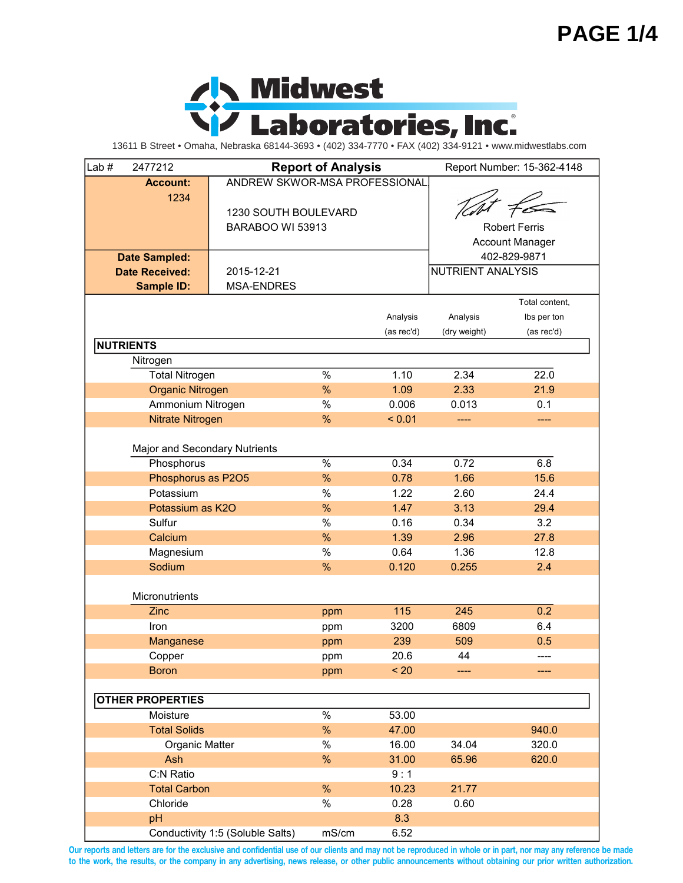

| Lab#<br>2477212               |                                  | <b>Report of Analysis</b> |            |                          | Report Number: 15-362-4148 |
|-------------------------------|----------------------------------|---------------------------|------------|--------------------------|----------------------------|
| <b>Account:</b>               | ANDREW SKWOR-MSA PROFESSIONAL    |                           |            |                          |                            |
| 1234                          |                                  |                           |            |                          |                            |
|                               | 1230 SOUTH BOULEVARD             |                           |            |                          |                            |
|                               | BARABOO WI 53913                 |                           |            |                          | <b>Robert Ferris</b>       |
|                               |                                  |                           |            |                          | Account Manager            |
| <b>Date Sampled:</b>          |                                  |                           |            |                          | 402-829-9871               |
| <b>Date Received:</b>         | 2015-12-21                       |                           |            | <b>NUTRIENT ANALYSIS</b> |                            |
| <b>Sample ID:</b>             | <b>MSA-ENDRES</b>                |                           |            |                          |                            |
|                               |                                  |                           |            |                          | Total content,             |
|                               |                                  |                           | Analysis   |                          |                            |
|                               |                                  |                           |            | Analysis                 | Ibs per ton                |
| <b>NUTRIENTS</b>              |                                  |                           | (as rec'd) | (dry weight)             | (as rec'd)                 |
|                               |                                  |                           |            |                          |                            |
| Nitrogen                      |                                  |                           |            |                          |                            |
| <b>Total Nitrogen</b>         |                                  | $\%$                      | 1.10       | 2.34                     | 22.0                       |
| Organic Nitrogen              |                                  | %                         | 1.09       | 2.33                     | 21.9                       |
| Ammonium Nitrogen             |                                  | $\%$                      | 0.006      | 0.013                    | 0.1                        |
| Nitrate Nitrogen              |                                  | %                         | < 0.01     | ----                     | ----                       |
|                               |                                  |                           |            |                          |                            |
| Major and Secondary Nutrients |                                  |                           |            |                          |                            |
| Phosphorus                    |                                  | $\%$                      | 0.34       | 0.72                     | 6.8                        |
| Phosphorus as P2O5            |                                  | %                         | 0.78       | 1.66                     | 15.6                       |
| Potassium                     |                                  | $\%$                      | 1.22       | 2.60                     | 24.4                       |
| Potassium as K2O              |                                  | %                         | 1.47       | 3.13                     | 29.4                       |
| Sulfur                        |                                  | $\%$                      | 0.16       | 0.34                     | 3.2                        |
| Calcium                       |                                  | %                         | 1.39       | 2.96                     | 27.8                       |
| Magnesium                     |                                  | $\%$                      | 0.64       | 1.36                     | 12.8                       |
| Sodium                        |                                  | %                         | 0.120      | 0.255                    | 2.4                        |
|                               |                                  |                           |            |                          |                            |
| Micronutrients                |                                  |                           |            |                          |                            |
| Zinc                          |                                  | ppm                       | 115        | 245                      | 0.2                        |
| Iron                          |                                  | ppm                       | 3200       | 6809                     | 6.4                        |
| Manganese                     |                                  | ppm                       | 239        | 509                      | 0.5                        |
| Copper                        |                                  | ppm                       | 20.6       | 44                       | ----                       |
| <b>Boron</b>                  |                                  | ppm                       | < 20       |                          | ----                       |
|                               |                                  |                           |            |                          |                            |
| <b>OTHER PROPERTIES</b>       |                                  |                           |            |                          |                            |
| Moisture                      |                                  | $\%$                      | 53.00      |                          |                            |
| <b>Total Solids</b>           |                                  | %                         | 47.00      |                          | 940.0                      |
| Organic Matter                |                                  | $\%$                      | 16.00      | 34.04                    | 320.0                      |
| Ash                           |                                  | %                         | 31.00      | 65.96                    | 620.0                      |
| C:N Ratio                     |                                  |                           | 9:1        |                          |                            |
|                               |                                  | %                         |            |                          |                            |
| <b>Total Carbon</b>           |                                  |                           | 10.23      | 21.77                    |                            |
| Chloride                      |                                  | $\%$                      | 0.28       | 0.60                     |                            |
| pH                            |                                  |                           | 8.3        |                          |                            |
|                               | Conductivity 1:5 (Soluble Salts) | mS/cm                     | 6.52       |                          |                            |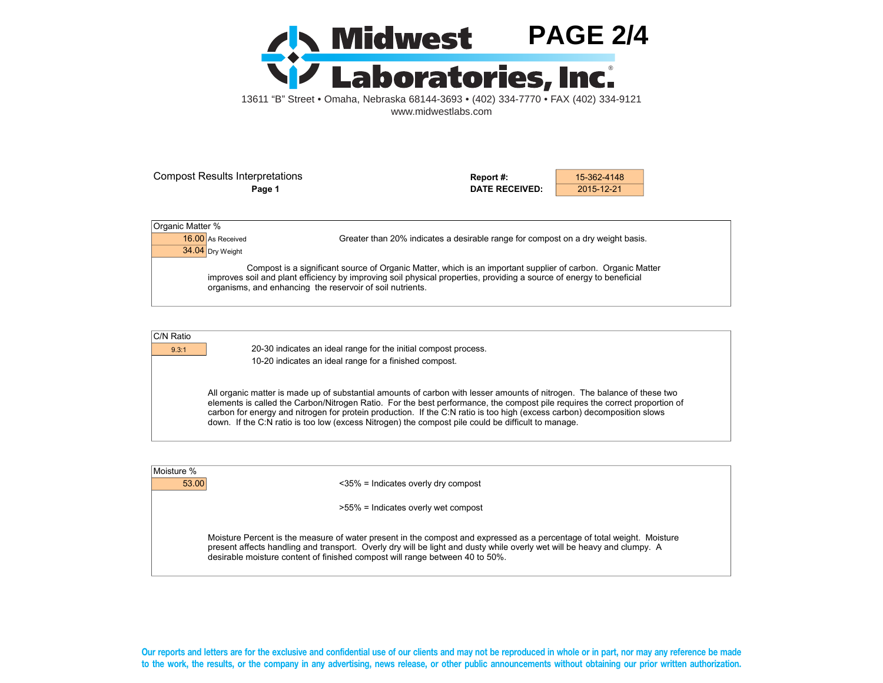

Compost Results Interpretations **Report #:** 15-362-4148

**Page 1 DATE RECEIVED:** 2015-12-21

| Organic Matter %  |                                                                                                                                                                                                                                                                                                  |
|-------------------|--------------------------------------------------------------------------------------------------------------------------------------------------------------------------------------------------------------------------------------------------------------------------------------------------|
| 16.00 As Received | Greater than 20% indicates a desirable range for compost on a dry weight basis.                                                                                                                                                                                                                  |
| 34.04 Dry Weight  |                                                                                                                                                                                                                                                                                                  |
|                   | Compost is a significant source of Organic Matter, which is an important supplier of carbon. Organic Matter<br>improves soil and plant efficiency by improving soil physical properties, providing a source of energy to beneficial<br>organisms, and enhancing the reservoir of soil nutrients. |

| C/N Ratio |  |
|-----------|--|
|           |  |

9.3:1 20-30 indicates an ideal range for the initial compost process. 10-20 indicates an ideal range for a finished compost.

> All organic matter is made up of substantial amounts of carbon with lesser amounts of nitrogen. The balance of these two elements is called the Carbon/Nitrogen Ratio. For the best performance, the compost pile requires the correct proportion of carbon for energy and nitrogen for protein production. If the C:N ratio is too high (excess carbon) decomposition slows down. If the C:N ratio is too low (excess Nitrogen) the compost pile could be difficult to manage.

| Moisture % |                                                                                                                                                                                                                                                                                                                                    |
|------------|------------------------------------------------------------------------------------------------------------------------------------------------------------------------------------------------------------------------------------------------------------------------------------------------------------------------------------|
|            | 53.00<br>$<35\%$ = Indicates overly dry compost                                                                                                                                                                                                                                                                                    |
|            | >55% = Indicates overly wet compost                                                                                                                                                                                                                                                                                                |
|            | Moisture Percent is the measure of water present in the compost and expressed as a percentage of total weight. Moisture<br>present affects handling and transport. Overly dry will be light and dusty while overly wet will be heavy and clumpy. A<br>desirable moisture content of finished compost will range between 40 to 50%. |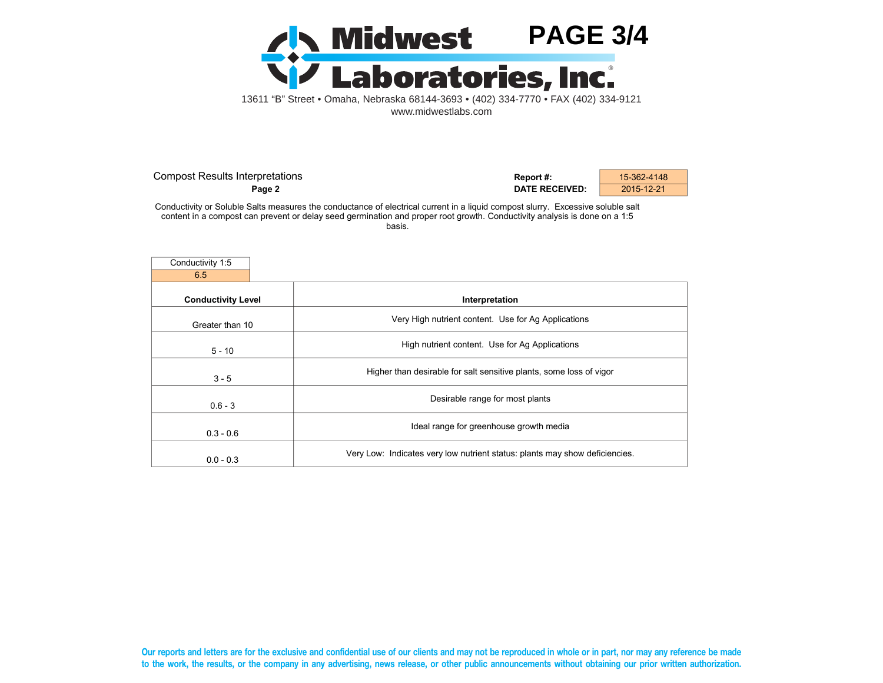

| <b>Compost Results Interpretations</b> | Report #:             | 15-362-4148 |
|----------------------------------------|-----------------------|-------------|
| Page 2                                 | <b>DATE RECEIVED:</b> | 2015-12-21  |

Conductivity or Soluble Salts measures the conductance of electrical current in a liquid compost slurry. Excessive soluble salt content in a compost can prevent or delay seed germination and proper root growth. Conductivity analysis is done on a 1:5 basis.

| Conductivity 1:5          |                                                                             |
|---------------------------|-----------------------------------------------------------------------------|
| 6.5                       |                                                                             |
| <b>Conductivity Level</b> | Interpretation                                                              |
| Greater than 10           | Very High nutrient content. Use for Ag Applications                         |
| $5 - 10$                  | High nutrient content. Use for Ag Applications                              |
| $3 - 5$                   | Higher than desirable for salt sensitive plants, some loss of vigor         |
| $0.6 - 3$                 | Desirable range for most plants                                             |
| $0.3 - 0.6$               | Ideal range for greenhouse growth media                                     |
| $0.0 - 0.3$               | Very Low: Indicates very low nutrient status: plants may show deficiencies. |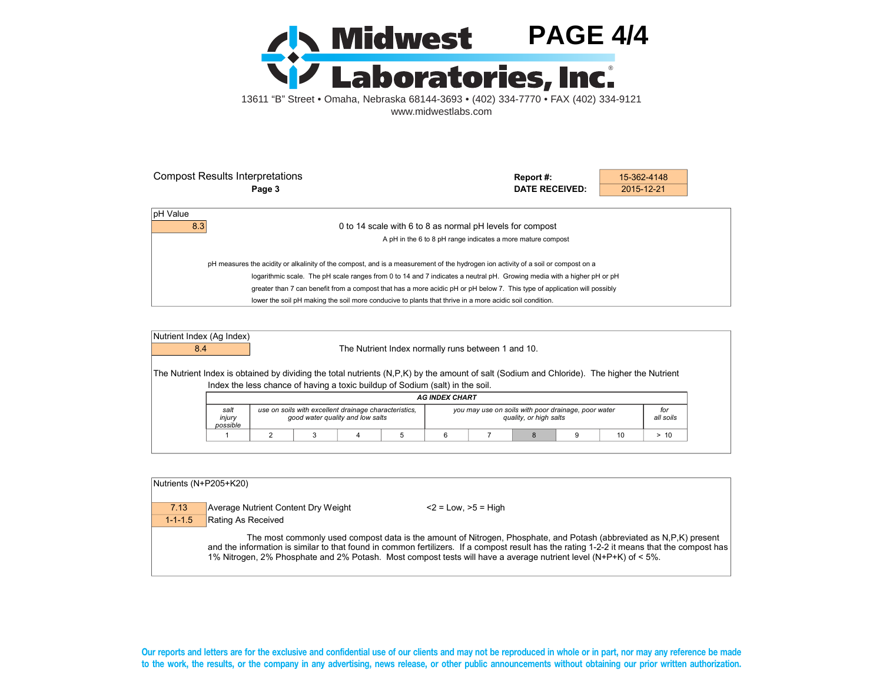

| <b>Compost Results Interpretations</b>                                                                                            | Report#:                                                                                                               | 15-362-4148 |  |  |
|-----------------------------------------------------------------------------------------------------------------------------------|------------------------------------------------------------------------------------------------------------------------|-------------|--|--|
| Page 3                                                                                                                            | DATE RECEIVED:                                                                                                         | 2015-12-21  |  |  |
|                                                                                                                                   |                                                                                                                        |             |  |  |
| pH Value                                                                                                                          |                                                                                                                        |             |  |  |
| 8.3                                                                                                                               | 0 to 14 scale with 6 to 8 as normal pH levels for compost                                                              |             |  |  |
|                                                                                                                                   | A pH in the 6 to 8 pH range indicates a more mature compost                                                            |             |  |  |
| pH measures the acidity or alkalinity of the compost, and is a measurement of the hydrogen ion activity of a soil or compost on a |                                                                                                                        |             |  |  |
|                                                                                                                                   | logarithmic scale. The pH scale ranges from 0 to 14 and 7 indicates a neutral pH. Growing media with a higher pH or pH |             |  |  |
| greater than 7 can benefit from a compost that has a more acidic pH or pH below 7. This type of application will possibly         |                                                                                                                        |             |  |  |
| lower the soil pH making the soil more conducive to plants that thrive in a more acidic soil condition.                           |                                                                                                                        |             |  |  |

| Nutrient Index (Ag Index)<br>8.4                                                                                                            |                            |  |                                                                                           |  | The Nutrient Index normally runs between 1 and 10.                            |                                                     |                        |  |                  |
|---------------------------------------------------------------------------------------------------------------------------------------------|----------------------------|--|-------------------------------------------------------------------------------------------|--|-------------------------------------------------------------------------------|-----------------------------------------------------|------------------------|--|------------------|
| The Nutrient Index is obtained by dividing the total nutrients (N,P,K) by the amount of salt (Sodium and Chloride). The higher the Nutrient |                            |  |                                                                                           |  | Index the less chance of having a toxic buildup of Sodium (salt) in the soil. |                                                     |                        |  |                  |
|                                                                                                                                             | <b>AG INDEX CHART</b>      |  |                                                                                           |  |                                                                               |                                                     |                        |  |                  |
|                                                                                                                                             |                            |  |                                                                                           |  |                                                                               |                                                     |                        |  |                  |
|                                                                                                                                             | salt<br>injury<br>possible |  | use on soils with excellent drainage characteristics.<br>good water quality and low salts |  |                                                                               | you may use on soils with poor drainage, poor water | quality, or high salts |  | for<br>all soils |

| Nutrients (N+P205+K20) |                                     |                                                                                                                                                                                                                                                                                                                                                                                      |
|------------------------|-------------------------------------|--------------------------------------------------------------------------------------------------------------------------------------------------------------------------------------------------------------------------------------------------------------------------------------------------------------------------------------------------------------------------------------|
| 7.13                   | Average Nutrient Content Dry Weight | $<$ 2 = Low, $>$ 5 = High                                                                                                                                                                                                                                                                                                                                                            |
| $1 - 1 - 1.5$          | Rating As Received                  |                                                                                                                                                                                                                                                                                                                                                                                      |
|                        |                                     | The most commonly used compost data is the amount of Nitrogen, Phosphate, and Potash (abbreviated as N.P.K) present<br>and the information is similar to that found in common fertilizers. If a compost result has the rating 1-2-2 it means that the compost has<br>1% Nitrogen, 2% Phosphate and 2% Potash. Most compost tests will have a average nutrient level (N+P+K) of < 5%. |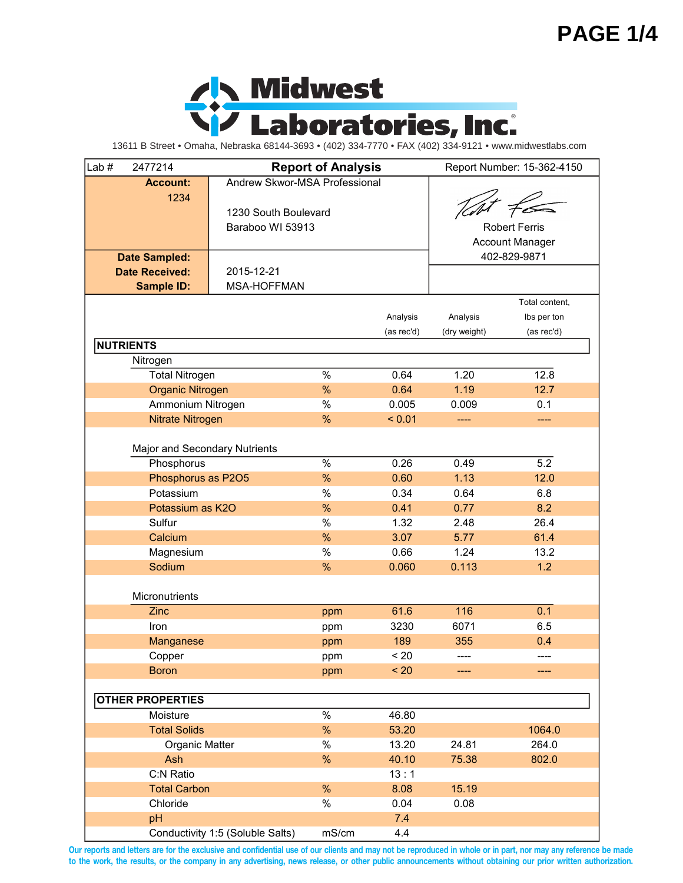## **PAGE 1/4**



13611 B Street • Omaha, Nebraska 68144-3693 • (402) 334-7770 • FAX (402) 334-9121 • www.midwestlabs.com

| Lab# | 2477214                       |                                  | <b>Report of Analysis</b> |            |              | Report Number: 15-362-4150 |
|------|-------------------------------|----------------------------------|---------------------------|------------|--------------|----------------------------|
|      | <b>Account:</b>               | Andrew Skwor-MSA Professional    |                           |            |              |                            |
|      | 1234                          |                                  |                           |            |              |                            |
|      |                               | 1230 South Boulevard             |                           |            |              |                            |
|      |                               | Baraboo WI 53913                 |                           |            |              | <b>Robert Ferris</b>       |
|      |                               |                                  |                           |            |              | <b>Account Manager</b>     |
|      | <b>Date Sampled:</b>          |                                  |                           |            |              | 402-829-9871               |
|      | <b>Date Received:</b>         | 2015-12-21                       |                           |            |              |                            |
|      | <b>Sample ID:</b>             | <b>MSA-HOFFMAN</b>               |                           |            |              |                            |
|      |                               |                                  |                           |            |              | Total content,             |
|      |                               |                                  |                           |            |              |                            |
|      |                               |                                  |                           | Analysis   | Analysis     | Ibs per ton                |
|      |                               |                                  |                           | (as rec'd) | (dry weight) | (as rec'd)                 |
|      | <b>NUTRIENTS</b>              |                                  |                           |            |              |                            |
|      | Nitrogen                      |                                  |                           |            |              |                            |
|      | <b>Total Nitrogen</b>         |                                  | $\%$                      | 0.64       | 1.20         | 12.8                       |
|      | <b>Organic Nitrogen</b>       |                                  | %                         | 0.64       | 1.19         | 12.7                       |
|      | Ammonium Nitrogen             |                                  | $\%$                      | 0.005      | 0.009        | 0.1                        |
|      | Nitrate Nitrogen              |                                  | %                         | < 0.01     | ----         | ----                       |
|      |                               |                                  |                           |            |              |                            |
|      | Major and Secondary Nutrients |                                  |                           |            |              |                            |
|      | Phosphorus                    |                                  | %                         | 0.26       | 0.49         | 5.2                        |
|      | Phosphorus as P2O5            |                                  | %                         | 0.60       | 1.13         | 12.0                       |
|      | Potassium                     |                                  | $\%$                      | 0.34       | 0.64         | 6.8                        |
|      | Potassium as K2O              |                                  | %                         | 0.41       | 0.77         | 8.2                        |
|      | Sulfur                        |                                  | $\%$                      | 1.32       | 2.48         | 26.4                       |
|      | Calcium                       |                                  | %                         | 3.07       | 5.77         | 61.4                       |
|      | Magnesium                     |                                  | $\%$                      | 0.66       | 1.24         | 13.2                       |
|      | Sodium                        |                                  | %                         | 0.060      | 0.113        | 1.2                        |
|      |                               |                                  |                           |            |              |                            |
|      | Micronutrients                |                                  |                           |            |              |                            |
|      | Zinc                          |                                  | ppm                       | 61.6       | 116          | 0.1                        |
|      | Iron                          |                                  | ppm                       | 3230       | 6071         | 6.5                        |
|      | Manganese                     |                                  | ppm                       | 189        | 355          | 0.4                        |
|      | Copper                        |                                  | ppm                       | < 20       | ----         | ----                       |
|      | <b>Boron</b>                  |                                  | ppm                       | < 20       |              | ----                       |
|      |                               |                                  |                           |            |              |                            |
|      | <b>OTHER PROPERTIES</b>       |                                  |                           |            |              |                            |
|      | Moisture                      |                                  | %                         | 46.80      |              |                            |
|      | <b>Total Solids</b>           |                                  | %                         | 53.20      |              | 1064.0                     |
|      |                               |                                  | $\%$                      |            |              |                            |
|      | Organic Matter                |                                  |                           | 13.20      | 24.81        | 264.0                      |
|      | Ash                           |                                  | %                         | 40.10      | 75.38        | 802.0                      |
|      | C:N Ratio                     |                                  |                           | 13:1       |              |                            |
|      | <b>Total Carbon</b>           |                                  | %                         | 8.08       | 15.19        |                            |
|      | Chloride                      |                                  | $\%$                      | 0.04       | 0.08         |                            |
|      | pH                            |                                  |                           | 7.4        |              |                            |
|      |                               | Conductivity 1:5 (Soluble Salts) | mS/cm                     | 4.4        |              |                            |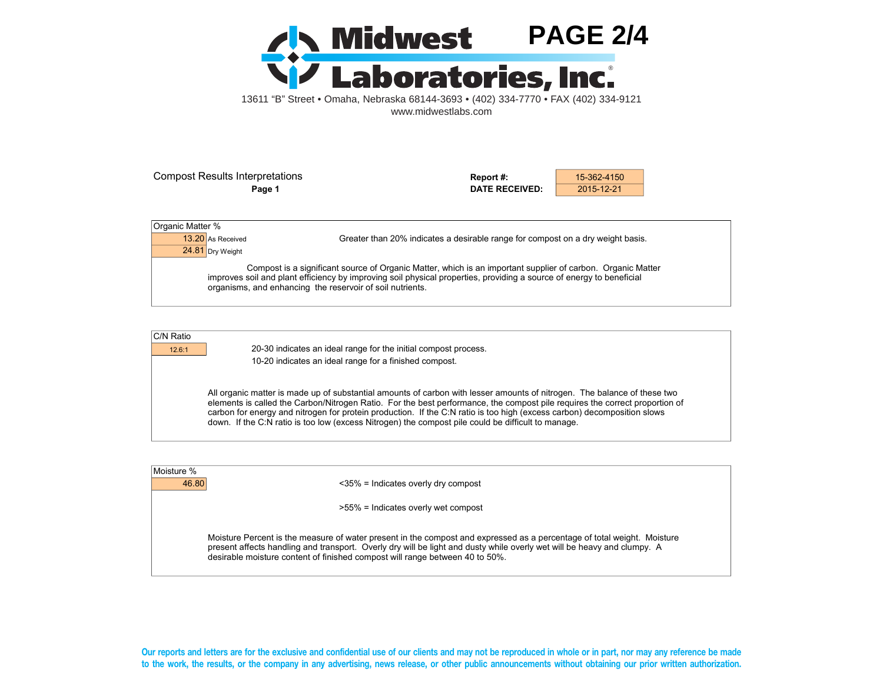

Compost Results Interpretations **Report #:** 15-362-4150

**Page 1 DATE RECEIVED:** 2015-12-21

| Organic Matter %  |                                                                                                                                                                                                                                                                                                  |
|-------------------|--------------------------------------------------------------------------------------------------------------------------------------------------------------------------------------------------------------------------------------------------------------------------------------------------|
| 13.20 As Received | Greater than 20% indicates a desirable range for compost on a dry weight basis.                                                                                                                                                                                                                  |
| 24.81 Dry Weight  |                                                                                                                                                                                                                                                                                                  |
|                   | Compost is a significant source of Organic Matter, which is an important supplier of carbon. Organic Matter<br>improves soil and plant efficiency by improving soil physical properties, providing a source of energy to beneficial<br>organisms, and enhancing the reservoir of soil nutrients. |

| C/N Ratio |
|-----------|
|           |

12.6:1 20-30 indicates an ideal range for the initial compost process. 10-20 indicates an ideal range for a finished compost.

> All organic matter is made up of substantial amounts of carbon with lesser amounts of nitrogen. The balance of these two elements is called the Carbon/Nitrogen Ratio. For the best performance, the compost pile requires the correct proportion of carbon for energy and nitrogen for protein production. If the C:N ratio is too high (excess carbon) decomposition slows down. If the C:N ratio is too low (excess Nitrogen) the compost pile could be difficult to manage.

| Moisture % |                                                                                                                                                                                                                                                                                                                                    |  |
|------------|------------------------------------------------------------------------------------------------------------------------------------------------------------------------------------------------------------------------------------------------------------------------------------------------------------------------------------|--|
|            |                                                                                                                                                                                                                                                                                                                                    |  |
| 46.80      | $\langle 35\% \rangle$ = Indicates overly dry compost                                                                                                                                                                                                                                                                              |  |
|            |                                                                                                                                                                                                                                                                                                                                    |  |
|            | >55% = Indicates overly wet compost                                                                                                                                                                                                                                                                                                |  |
|            | Moisture Percent is the measure of water present in the compost and expressed as a percentage of total weight. Moisture<br>present affects handling and transport. Overly dry will be light and dusty while overly wet will be heavy and clumpy. A<br>desirable moisture content of finished compost will range between 40 to 50%. |  |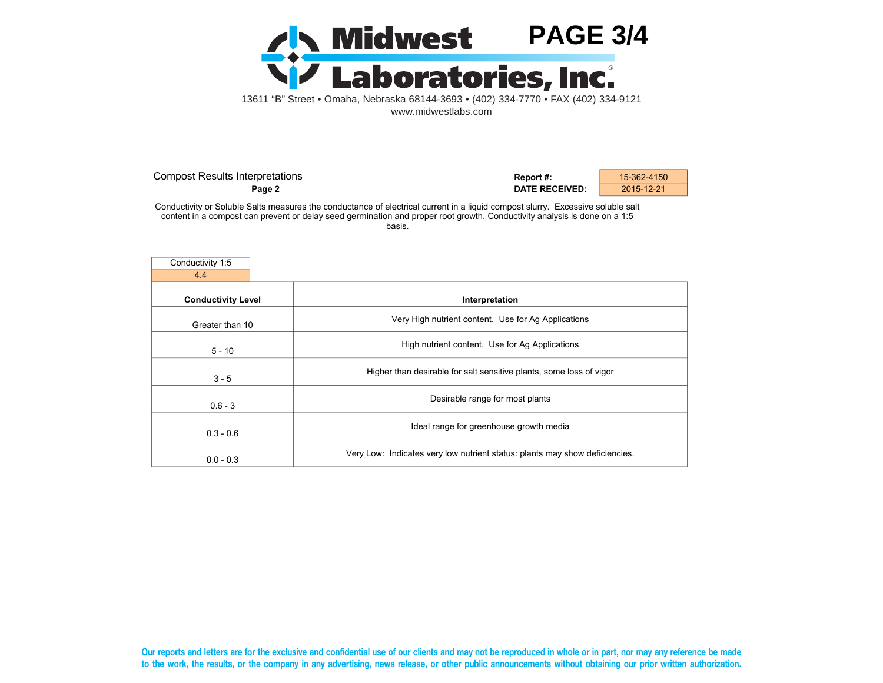

| <b>Compost Results Interpretations</b> | Report #:             | 15-362-4150 |
|----------------------------------------|-----------------------|-------------|
| Page 2                                 | <b>DATE RECEIVED:</b> | 2015-12-21  |

Conductivity or Soluble Salts measures the conductance of electrical current in a liquid compost slurry. Excessive soluble salt content in a compost can prevent or delay seed germination and proper root growth. Conductivity analysis is done on a 1:5 basis.

| Conductivity 1:5          |                                                                             |
|---------------------------|-----------------------------------------------------------------------------|
| 4.4                       |                                                                             |
| <b>Conductivity Level</b> | Interpretation                                                              |
| Greater than 10           | Very High nutrient content. Use for Ag Applications                         |
| $5 - 10$                  | High nutrient content. Use for Ag Applications                              |
| $3 - 5$                   | Higher than desirable for salt sensitive plants, some loss of vigor         |
| $0.6 - 3$                 | Desirable range for most plants                                             |
| $0.3 - 0.6$               | Ideal range for greenhouse growth media                                     |
| $0.0 - 0.3$               | Very Low: Indicates very low nutrient status: plants may show deficiencies. |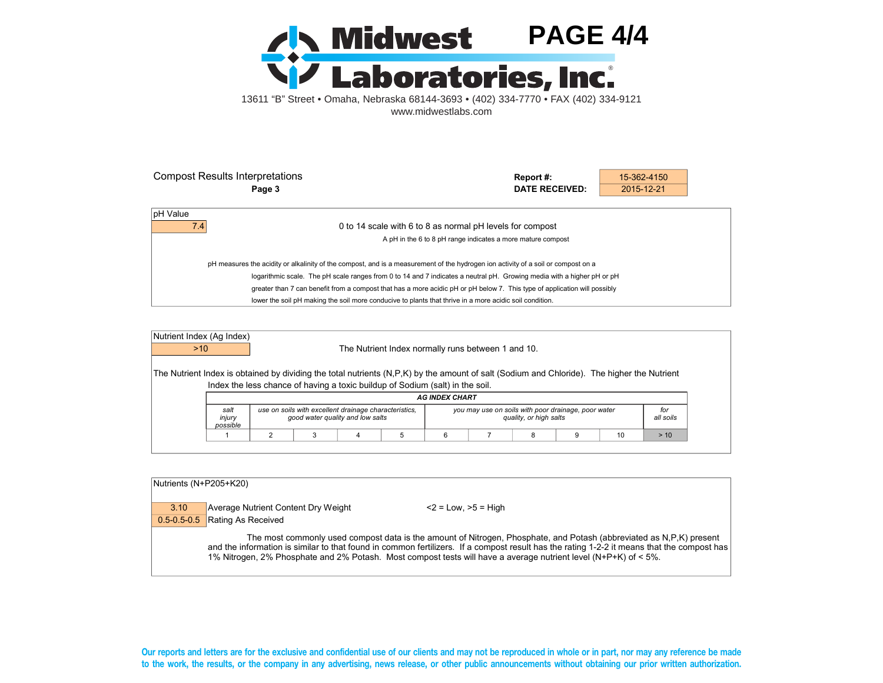

| <b>Compost Results Interpretations</b>                                                                                            | Report#:                                                    | 15-362-4150 |  |
|-----------------------------------------------------------------------------------------------------------------------------------|-------------------------------------------------------------|-------------|--|
| Page 3                                                                                                                            | DATE RECEIVED:                                              | 2015-12-21  |  |
|                                                                                                                                   |                                                             |             |  |
| pH Value                                                                                                                          |                                                             |             |  |
| 7.4                                                                                                                               | 0 to 14 scale with 6 to 8 as normal pH levels for compost   |             |  |
|                                                                                                                                   | A pH in the 6 to 8 pH range indicates a more mature compost |             |  |
| pH measures the acidity or alkalinity of the compost, and is a measurement of the hydrogen ion activity of a soil or compost on a |                                                             |             |  |
| logarithmic scale. The pH scale ranges from 0 to 14 and 7 indicates a neutral pH. Growing media with a higher pH or pH            |                                                             |             |  |
| greater than 7 can benefit from a compost that has a more acidic pH or pH below 7. This type of application will possibly         |                                                             |             |  |
| lower the soil pH making the soil more conducive to plants that thrive in a more acidic soil condition.                           |                                                             |             |  |

| Nutrient Index (Ag Index)<br>$>10$                                                                                                          |                            |                                                                                           | The Nutrient Index normally runs between 1 and 10.                            |                       |                                                     |                        |  |                  |
|---------------------------------------------------------------------------------------------------------------------------------------------|----------------------------|-------------------------------------------------------------------------------------------|-------------------------------------------------------------------------------|-----------------------|-----------------------------------------------------|------------------------|--|------------------|
| The Nutrient Index is obtained by dividing the total nutrients (N,P,K) by the amount of salt (Sodium and Chloride). The higher the Nutrient |                            |                                                                                           | Index the less chance of having a toxic buildup of Sodium (salt) in the soil. |                       |                                                     |                        |  |                  |
|                                                                                                                                             |                            |                                                                                           |                                                                               |                       |                                                     |                        |  |                  |
|                                                                                                                                             |                            |                                                                                           |                                                                               | <b>AG INDEX CHART</b> |                                                     |                        |  |                  |
|                                                                                                                                             | salt<br>injury<br>possible | use on soils with excellent drainage characteristics,<br>good water quality and low salts |                                                                               |                       | you may use on soils with poor drainage, poor water | quality, or high salts |  | for<br>all soils |

| Nutrients (N+P205+K20) |                                     |                                                                                                                                                                                                                                                                                                                                                                                      |
|------------------------|-------------------------------------|--------------------------------------------------------------------------------------------------------------------------------------------------------------------------------------------------------------------------------------------------------------------------------------------------------------------------------------------------------------------------------------|
| 3.10                   | Average Nutrient Content Dry Weight | $<$ 2 = Low, $>$ 5 = High                                                                                                                                                                                                                                                                                                                                                            |
| $0.5 - 0.5 - 0.5$      | Rating As Received                  |                                                                                                                                                                                                                                                                                                                                                                                      |
|                        |                                     | The most commonly used compost data is the amount of Nitrogen, Phosphate, and Potash (abbreviated as N,P,K) present<br>and the information is similar to that found in common fertilizers. If a compost result has the rating 1-2-2 it means that the compost has<br>1% Nitrogen, 2% Phosphate and 2% Potash. Most compost tests will have a average nutrient level (N+P+K) of < 5%. |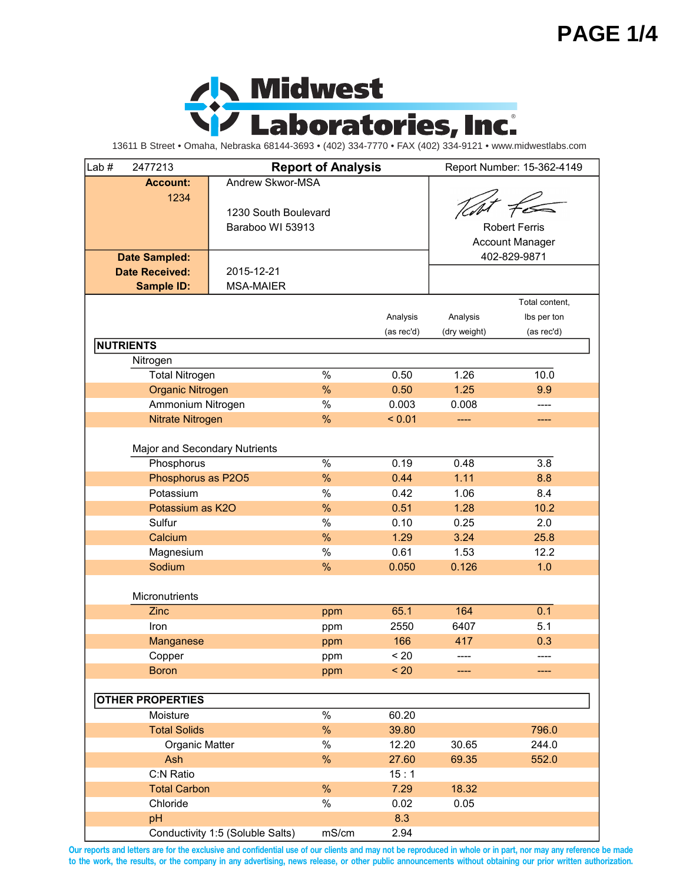## **PAGE 1/4**



13611 B Street • Omaha, Nebraska 68144-3693 • (402) 334-7770 • FAX (402) 334-9121 • www.midwestlabs.com

| 2477213<br>Lab $#$            |                                  | <b>Report of Analysis</b> |            |              | Report Number: 15-362-4149 |
|-------------------------------|----------------------------------|---------------------------|------------|--------------|----------------------------|
| <b>Account:</b>               | Andrew Skwor-MSA                 |                           |            |              |                            |
| 1234                          |                                  |                           |            |              |                            |
|                               | 1230 South Boulevard             |                           |            |              |                            |
|                               | Baraboo WI 53913                 |                           |            |              | <b>Robert Ferris</b>       |
|                               |                                  |                           |            |              | <b>Account Manager</b>     |
| <b>Date Sampled:</b>          |                                  |                           |            |              | 402-829-9871               |
| <b>Date Received:</b>         | 2015-12-21                       |                           |            |              |                            |
| <b>Sample ID:</b>             | <b>MSA-MAIER</b>                 |                           |            |              |                            |
|                               |                                  |                           |            |              | Total content,             |
|                               |                                  |                           | Analysis   | Analysis     | Ibs per ton                |
|                               |                                  |                           | (as rec'd) | (dry weight) | (as rec'd)                 |
| <b>NUTRIENTS</b>              |                                  |                           |            |              |                            |
| Nitrogen                      |                                  |                           |            |              |                            |
| <b>Total Nitrogen</b>         |                                  | $\%$                      | 0.50       | 1.26         | 10.0                       |
| <b>Organic Nitrogen</b>       |                                  | %                         | 0.50       | 1.25         | 9.9                        |
| Ammonium Nitrogen             |                                  | $\%$                      | 0.003      | 0.008        | ----                       |
| Nitrate Nitrogen              |                                  | $\frac{0}{0}$             | < 0.01     | ----         | ----                       |
|                               |                                  |                           |            |              |                            |
| Major and Secondary Nutrients |                                  |                           |            |              |                            |
| Phosphorus                    |                                  | $\%$                      | 0.19       | 0.48         | 3.8                        |
| Phosphorus as P2O5            |                                  | %                         | 0.44       | 1.11         | 8.8                        |
| Potassium                     |                                  | $\%$                      | 0.42       | 1.06         | 8.4                        |
| Potassium as K2O              |                                  | %                         | 0.51       | 1.28         | 10.2                       |
| Sulfur                        |                                  | $\%$                      | 0.10       | 0.25         | 2.0                        |
| Calcium                       |                                  | %                         | 1.29       | 3.24         | 25.8                       |
| Magnesium                     |                                  | $\%$                      | 0.61       | 1.53         | 12.2                       |
| Sodium                        |                                  | %                         | 0.050      | 0.126        | 1.0                        |
|                               |                                  |                           |            |              |                            |
| Micronutrients                |                                  |                           |            |              |                            |
| Zinc                          |                                  | ppm                       | 65.1       | 164          | 0.1                        |
| Iron                          |                                  | ppm                       | 2550       | 6407         | 5.1                        |
| Manganese                     |                                  | ppm                       | 166        | 417          | 0.3                        |
| Copper                        |                                  | ppm                       | < 20       | ----         | ----                       |
| <b>Boron</b>                  |                                  | ppm                       | < 20       |              | ----                       |
|                               |                                  |                           |            |              |                            |
| <b>OTHER PROPERTIES</b>       |                                  |                           |            |              |                            |
| Moisture                      |                                  | %                         | 60.20      |              |                            |
| <b>Total Solids</b>           |                                  |                           | 39.80      |              | 796.0                      |
| Organic Matter                |                                  | $\%$                      | 12.20      | 30.65        | 244.0                      |
| Ash                           |                                  | %                         | 27.60      | 69.35        | 552.0                      |
| C:N Ratio                     |                                  |                           | 15:1       |              |                            |
| <b>Total Carbon</b>           |                                  | %                         | 7.29       | 18.32        |                            |
| Chloride                      |                                  | $\%$                      | 0.02       | 0.05         |                            |
| pH                            |                                  |                           | 8.3        |              |                            |
|                               | Conductivity 1:5 (Soluble Salts) | mS/cm                     | 2.94       |              |                            |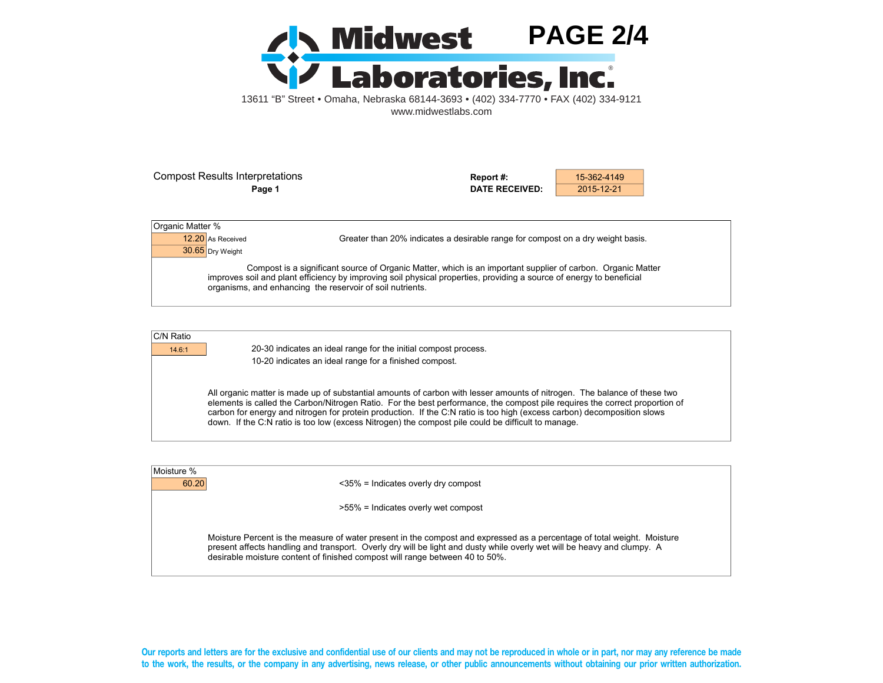

Compost Results Interpretations **Report #:** 15-362-4149

**Page 1 DATE RECEIVED:** 2015-12-21

| Organic Matter %  |                                                                                                                                                                                                                                                                                                  |  |
|-------------------|--------------------------------------------------------------------------------------------------------------------------------------------------------------------------------------------------------------------------------------------------------------------------------------------------|--|
| 12.20 As Received | Greater than 20% indicates a desirable range for compost on a dry weight basis.                                                                                                                                                                                                                  |  |
| 30.65 Dry Weight  |                                                                                                                                                                                                                                                                                                  |  |
|                   | Compost is a significant source of Organic Matter, which is an important supplier of carbon. Organic Matter<br>improves soil and plant efficiency by improving soil physical properties, providing a source of energy to beneficial<br>organisms, and enhancing the reservoir of soil nutrients. |  |

| C/N Ratio |
|-----------|
|           |

14.6:1 20-30 indicates an ideal range for the initial compost process. 10-20 indicates an ideal range for a finished compost.

> All organic matter is made up of substantial amounts of carbon with lesser amounts of nitrogen. The balance of these two elements is called the Carbon/Nitrogen Ratio. For the best performance, the compost pile requires the correct proportion of carbon for energy and nitrogen for protein production. If the C:N ratio is too high (excess carbon) decomposition slows down. If the C:N ratio is too low (excess Nitrogen) the compost pile could be difficult to manage.

| Moisture % |                                                                                                                                                                                                                                                                                                                                    |  |
|------------|------------------------------------------------------------------------------------------------------------------------------------------------------------------------------------------------------------------------------------------------------------------------------------------------------------------------------------|--|
|            | 60.20<br>$\langle 35\% \rangle$ = Indicates overly dry compost                                                                                                                                                                                                                                                                     |  |
|            | >55% = Indicates overly wet compost                                                                                                                                                                                                                                                                                                |  |
|            | Moisture Percent is the measure of water present in the compost and expressed as a percentage of total weight. Moisture<br>present affects handling and transport. Overly dry will be light and dusty while overly wet will be heavy and clumpy. A<br>desirable moisture content of finished compost will range between 40 to 50%. |  |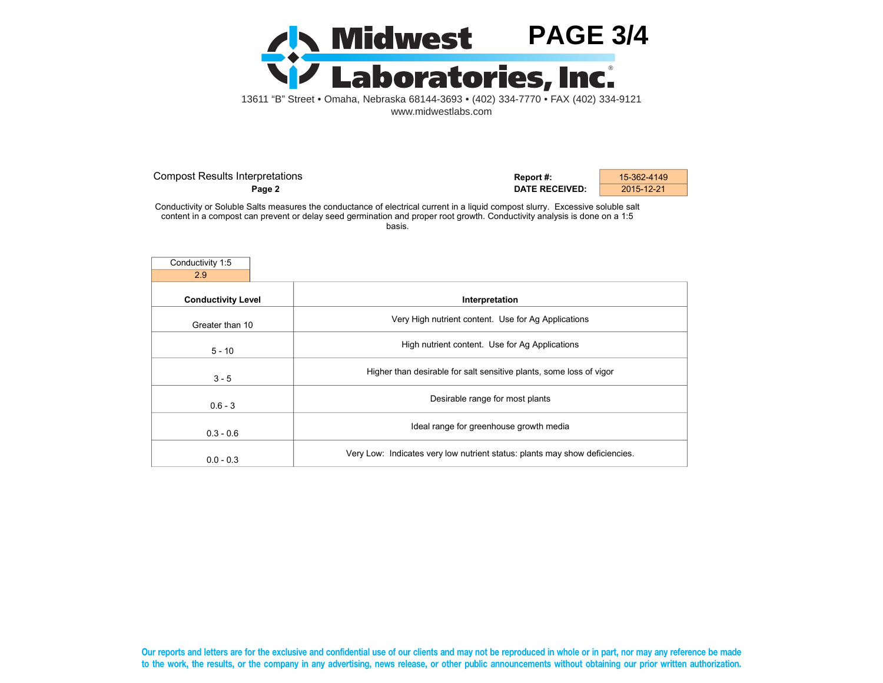

| <b>Compost Results Interpretations</b> | Report #:             | 15-362-4149 |
|----------------------------------------|-----------------------|-------------|
| Page 2                                 | <b>DATE RECEIVED:</b> | 2015-12-21  |

Conductivity or Soluble Salts measures the conductance of electrical current in a liquid compost slurry. Excessive soluble salt content in a compost can prevent or delay seed germination and proper root growth. Conductivity analysis is done on a 1:5 basis.

| Conductivity 1:5          |                                                                             |
|---------------------------|-----------------------------------------------------------------------------|
| 2.9                       |                                                                             |
| <b>Conductivity Level</b> | Interpretation                                                              |
| Greater than 10           | Very High nutrient content. Use for Ag Applications                         |
| $5 - 10$                  | High nutrient content. Use for Ag Applications                              |
| $3 - 5$                   | Higher than desirable for salt sensitive plants, some loss of vigor         |
| $0.6 - 3$                 | Desirable range for most plants                                             |
| $0.3 - 0.6$               | Ideal range for greenhouse growth media                                     |
| $0.0 - 0.3$               | Very Low: Indicates very low nutrient status: plants may show deficiencies. |